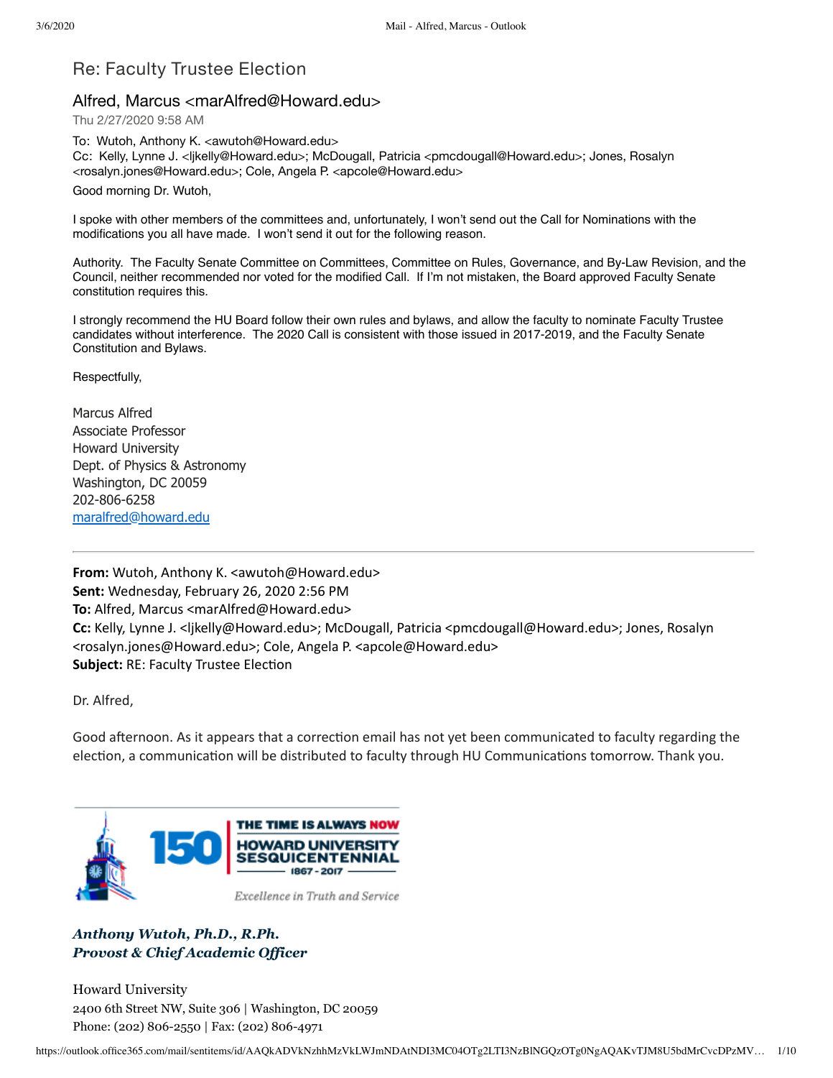# Re: Faculty Trustee Election

# Alfred, Marcus <marAlfred@Howard.edu>

Thu 2/27/2020 9:58 AM

To: Wutoh, Anthony K. <awutoh@Howard.edu> Cc: Kelly, Lynne J. <ljkelly@Howard.edu>; McDougall, Patricia <pmcdougall@Howard.edu>; Jones, Rosalyn <rosalyn.jones@Howard.edu>; Cole, Angela P. <apcole@Howard.edu>

Good morning Dr. Wutoh,

I spoke with other members of the committees and, unfortunately, I won't send out the Call for Nominations with the modifications you all have made. I won't send it out for the following reason.

Authority. The Faculty Senate Committee on Committees, Committee on Rules, Governance, and By-Law Revision, and the Council, neither recommended nor voted for the modified Call. If I'm not mistaken, the Board approved Faculty Senate constitution requires this.

I strongly recommend the HU Board follow their own rules and bylaws, and allow the faculty to nominate Faculty Trustee candidates without interference. The 2020 Call is consistent with those issued in 2017-2019, and the Faculty Senate Constitution and Bylaws.

Respectfully,

Marcus Alfred Associate Professor Howard University Dept. of Physics & Astronomy Washington, DC 20059 202-806-6258 [maralfred@howard.edu](mailto:maralfred@howard.edu)

**From:** Wutoh, Anthony K. <awutoh@Howard.edu> **Sent:** Wednesday, February 26, 2020 2:56 PM **To:** Alfred, Marcus <marAlfred@Howard.edu> **Cc:** Kelly, Lynne J. <ljkelly@Howard.edu>; McDougall, Patricia <pmcdougall@Howard.edu>; Jones, Rosalyn <rosalyn.jones@Howard.edu>; Cole, Angela P. <apcole@Howard.edu> **Subject: RE: Faculty Trustee Election** 

Dr. Alfred,

Good afternoon. As it appears that a correction email has not yet been communicated to faculty regarding the election, a communication will be distributed to faculty through HU Communications tomorrow. Thank you.



*Anthony Wutoh, Ph.D., R.Ph. Provost & Chief Academic Of icer*

Howard University 2400 6th Street NW, Suite 306 | Washington, DC 20059 Phone: (202) 806-2550 | Fax: (202) 806-4971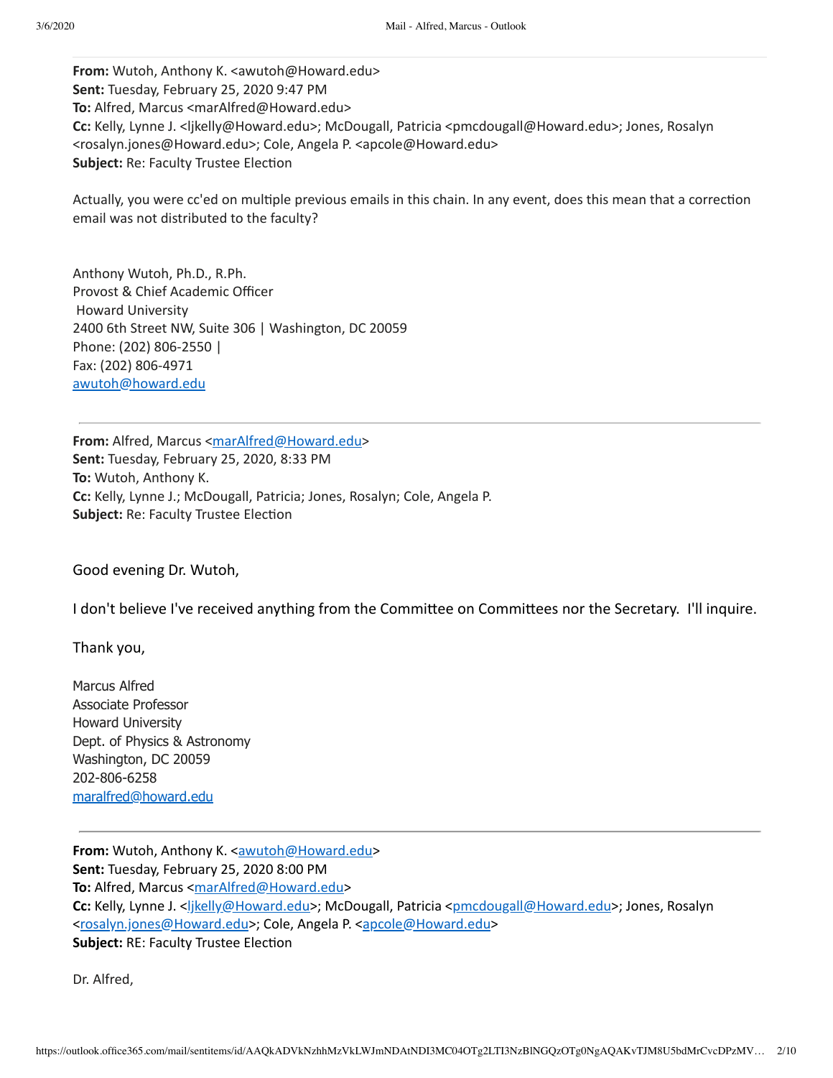**From:** Wutoh, Anthony K. <awutoh@Howard.edu> **Sent:** Tuesday, February 25, 2020 9:47 PM **To:** Alfred, Marcus <marAlfred@Howard.edu> **Cc:** Kelly, Lynne J. <ljkelly@Howard.edu>; McDougall, Patricia <pmcdougall@Howard.edu>; Jones, Rosalyn <rosalyn.jones@Howard.edu>; Cole, Angela P. <apcole@Howard.edu> **Subject: Re: Faculty Trustee Election** 

Actually, you were cc'ed on multiple previous emails in this chain. In any event, does this mean that a correction email was not distributed to the faculty?

Anthony Wutoh, Ph.D., R.Ph. Provost & Chief Academic Officer Howard University 2400 6th Street NW, Suite 306 | Washington, DC 20059 Phone: (202) 806-2550 | Fax: (202) 806-4971 [awutoh@howard.edu](mailto:awutoh@howard.edu)

**From:** Alfred, Marcus [<marAlfred@Howard.edu](mailto:marAlfred@Howard.edu)> **Sent:** Tuesday, February 25, 2020, 8:33 PM **To:** Wutoh, Anthony K. **Cc:** Kelly, Lynne J.; McDougall, Patricia; Jones, Rosalyn; Cole, Angela P. **Subject: Re: Faculty Trustee Election** 

Good evening Dr. Wutoh,

I don't believe I've received anything from the Committee on Committees nor the Secretary. I'll inquire.

Thank you,

Marcus Alfred Associate Professor Howard University Dept. of Physics & Astronomy Washington, DC 20059 202-806-6258 [maralfred@howard.edu](mailto:maralfred@howard.edu)

**From:** Wutoh, Anthony K. [<awutoh@Howard.edu>](mailto:awutoh@Howard.edu) **Sent:** Tuesday, February 25, 2020 8:00 PM **To:** Alfred, Marcus <[marAlfred@Howard.edu](mailto:marAlfred@Howard.edu)> Cc: Kelly, Lynne J. <<u>ljkelly@Howard.edu</u>>; McDougall, Patricia <[pmcdougall@Howard.edu](mailto:pmcdougall@Howard.edu)>; Jones, Rosalyn [<rosalyn.jones@Howard.edu>](mailto:rosalyn.jones@Howard.edu); Cole, Angela P. <[apcole@Howard.edu>](mailto:apcole@Howard.edu) **Subject: RE: Faculty Trustee Election** 

Dr. Alfred,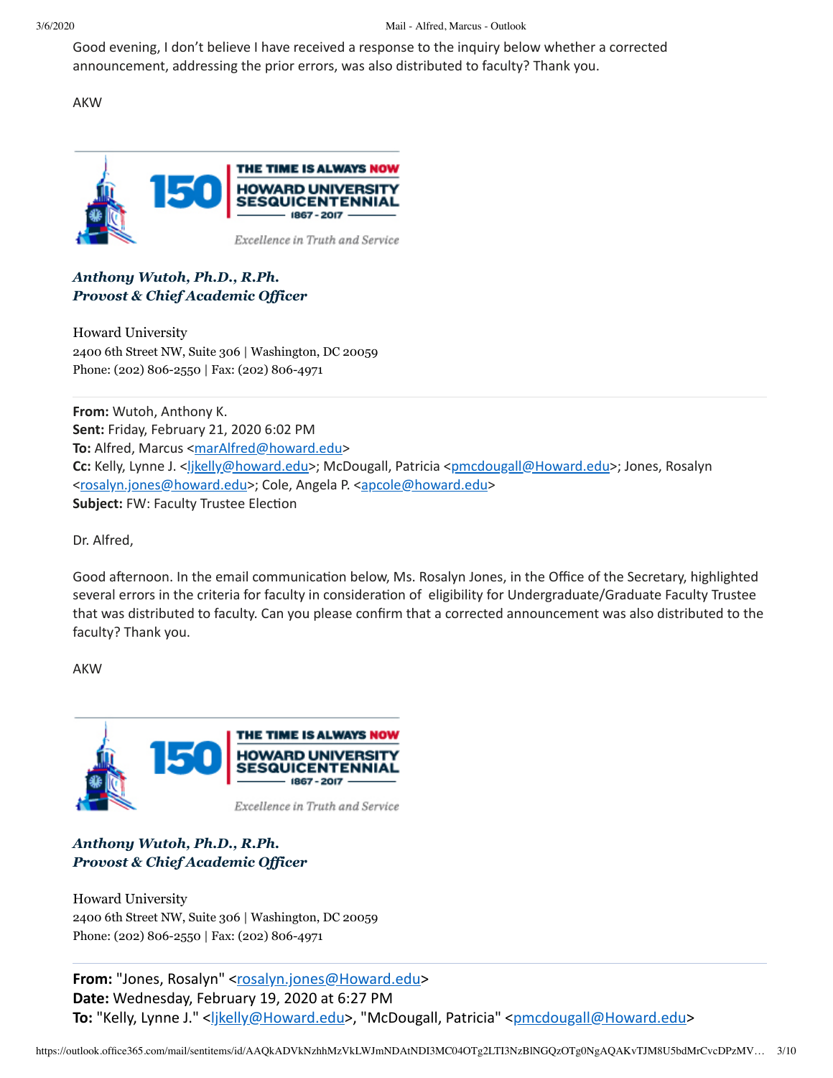#### 3/6/2020 Mail - Alfred, Marcus - Outlook

Good evening, I don't believe I have received a response to the inquiry below whether a corrected announcement, addressing the prior errors, was also distributed to faculty? Thank you.

AKW



### *Anthony Wutoh, Ph.D., R.Ph. Provost & Chief Academic Of icer*

Howard University 2400 6th Street NW, Suite 306 | Washington, DC 20059 Phone: (202) 806-2550 | Fax: (202) 806-4971

**From:** Wutoh, Anthony K. **Sent:** Friday, February 21, 2020 6:02 PM To: Alfred, Marcus <[marAlfred@howard.edu>](mailto:marAlfred@howard.edu) **Cc:** Kelly, Lynne J. <[ljkelly@howard.edu>](mailto:ljkelly@howard.edu); McDougall, Patricia <[pmcdougall@Howard.edu](mailto:pmcdougall@Howard.edu)>; Jones, Rosalyn [<rosalyn.jones@howard.edu>](mailto:rosalyn.jones@howard.edu); Cole, Angela P. <[apcole@howard.edu>](mailto:apcole@howard.edu) **Subject: FW: Faculty Trustee Election** 

Dr. Alfred,

Good afternoon. In the email communication below, Ms. Rosalyn Jones, in the Office of the Secretary, highlighted several errors in the criteria for faculty in consideration of eligibility for Undergraduate/Graduate Faculty Trustee that was distributed to faculty. Can you please confirm that a corrected announcement was also distributed to the faculty? Thank you.

AKW



#### *Anthony Wutoh, Ph.D., R.Ph. Provost & Chief Academic Of icer*

Howard University 2400 6th Street NW, Suite 306 | Washington, DC 20059 Phone: (202) 806-2550 | Fax: (202) 806-4971

**From:** "Jones, Rosalyn" [<rosalyn.jones@Howard.edu>](mailto:rosalyn.jones@Howard.edu) **Date:** Wednesday, February 19, 2020 at 6:27 PM To: "Kelly, Lynne J." <*ljkelly@Howard.edu>*, "McDougall, Patricia" [<pmcdougall@Howard.edu>](mailto:pmcdougall@Howard.edu)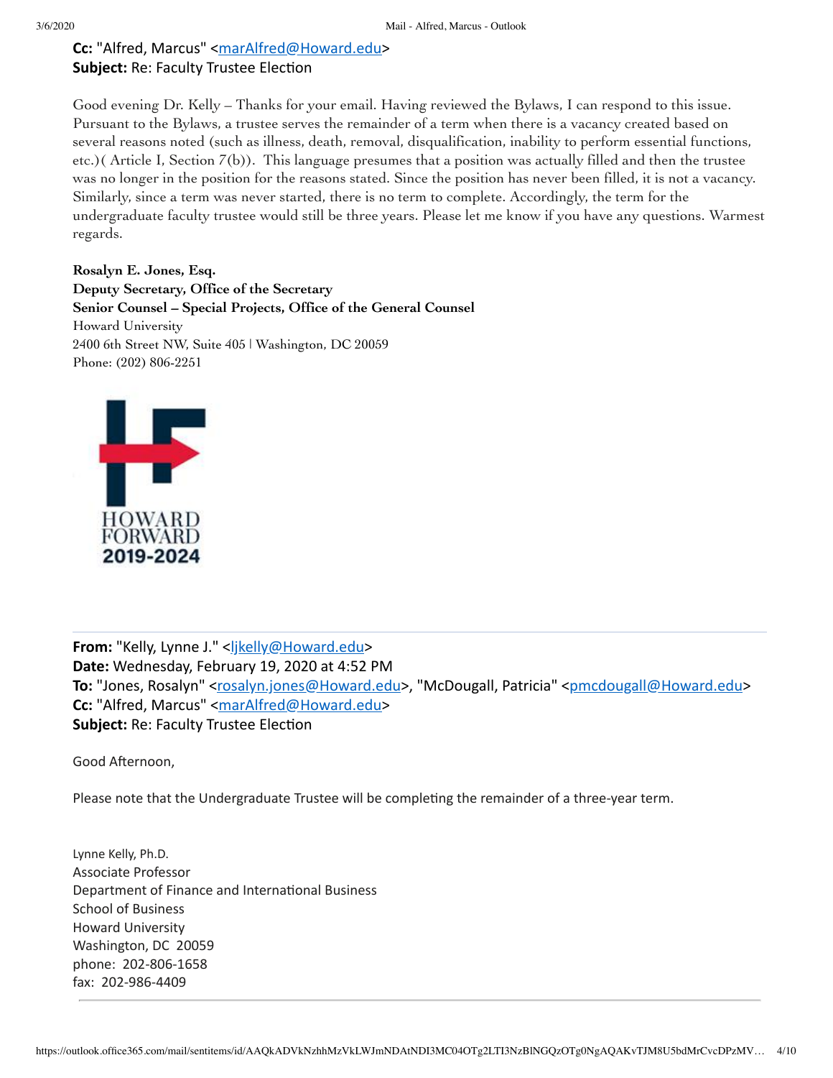# **Cc:** "Alfred, Marcus" <[marAlfred@Howard.edu>](mailto:marAlfred@Howard.edu) **Subject: Re: Faculty Trustee Election**

Good evening Dr. Kelly – Thanks for your email. Having reviewed the Bylaws, I can respond to this issue. Pursuant to the Bylaws, a trustee serves the remainder of a term when there is a vacancy created based on several reasons noted (such as illness, death, removal, disqualification, inability to perform essential functions, etc.)( Article I, Section 7(b)). This language presumes that a position was actually filled and then the trustee was no longer in the position for the reasons stated. Since the position has never been filled, it is not a vacancy. Similarly, since a term was never started, there is no term to complete. Accordingly, the term for the undergraduate faculty trustee would still be three years. Please let me know if you have any questions. Warmest regards.

**Rosalyn E. Jones, Esq. Deputy Secretary, Office of the Secretary Senior Counsel – Special Projects, Office of the General Counsel** Howard University 2400 6th Street NW, Suite 405 | Washington, DC 20059 Phone: (202) 806-2251



From: "Kelly, Lynne J." <[ljkelly@Howard.edu>](mailto:ljkelly@Howard.edu) **Date:** Wednesday, February 19, 2020 at 4:52 PM To: "Jones, Rosalyn" [<rosalyn.jones@Howard.edu](mailto:rosalyn.jones@Howard.edu)>, "McDougall, Patricia" <[pmcdougall@Howard.edu](mailto:pmcdougall@Howard.edu)> **Cc:** "Alfred, Marcus" <[marAlfred@Howard.edu>](mailto:marAlfred@Howard.edu) **Subject: Re: Faculty Trustee Election** 

Good Afternoon,

Please note that the Undergraduate Trustee will be completing the remainder of a three-year term.

Lynne Kelly, Ph.D. Associate Professor Department of Finance and International Business School of Business Howard University Washington, DC 20059 phone: 202-806-1658 fax: 202-986-4409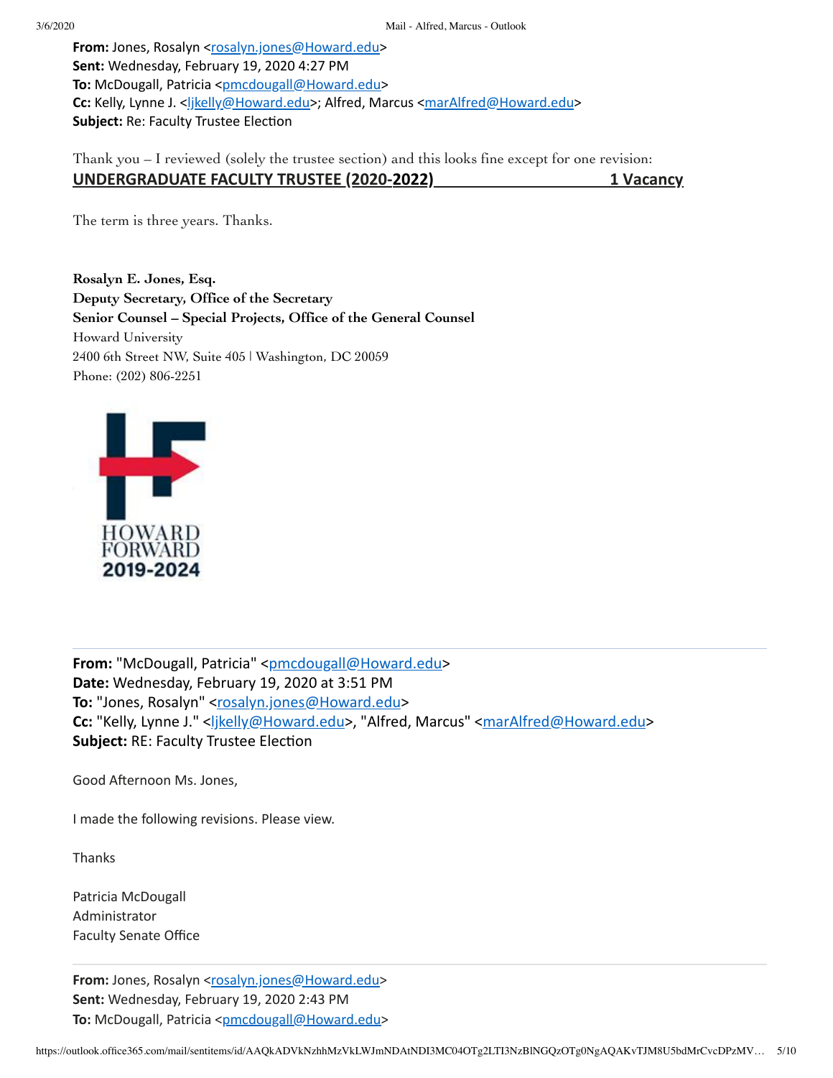**From:** Jones, Rosalyn [<rosalyn.jones@Howard.edu](mailto:rosalyn.jones@Howard.edu)> **Sent:** Wednesday, February 19, 2020 4:27 PM **To:** McDougall, Patricia [<pmcdougall@Howard.edu](mailto:pmcdougall@Howard.edu)> **Cc:** Kelly, Lynne J. <likelly@Howard.edu>; Alfred, Marcus <[marAlfred@Howard.edu](mailto:marAlfred@Howard.edu)> **Subject: Re: Faculty Trustee Election** 

Thank you – I reviewed (solely the trustee section) and this looks fine except for one revision: **UNDERGRADUATE FACULTY TRUSTEE (2020-2022) 1 Vacancy**

The term is three years. Thanks.

**Rosalyn E. Jones, Esq. Deputy Secretary, Office of the Secretary Senior Counsel – Special Projects, Office of the General Counsel** Howard University 2400 6th Street NW, Suite 405 | Washington, DC 20059 Phone: (202) 806-2251



From: "McDougall, Patricia" <[pmcdougall@Howard.edu>](mailto:pmcdougall@Howard.edu) **Date:** Wednesday, February 19, 2020 at 3:51 PM To: "Jones, Rosalyn" [<rosalyn.jones@Howard.edu](mailto:rosalyn.jones@Howard.edu)> Cc: "Kelly, Lynne J." [<ljkelly@Howard.edu](mailto:ljkelly@Howard.edu)>, "Alfred, Marcus" <[marAlfred@Howard.edu>](mailto:marAlfred@Howard.edu) **Subject: RE: Faculty Trustee Election** 

Good Afternoon Ms. Jones,

I made the following revisions. Please view.

Thanks

Patricia McDougall Administrator Faculty Senate Office

From: Jones, Rosalyn [<rosalyn.jones@Howard.edu](mailto:rosalyn.jones@Howard.edu)> **Sent:** Wednesday, February 19, 2020 2:43 PM **To:** McDougall, Patricia [<pmcdougall@Howard.edu](mailto:pmcdougall@Howard.edu)>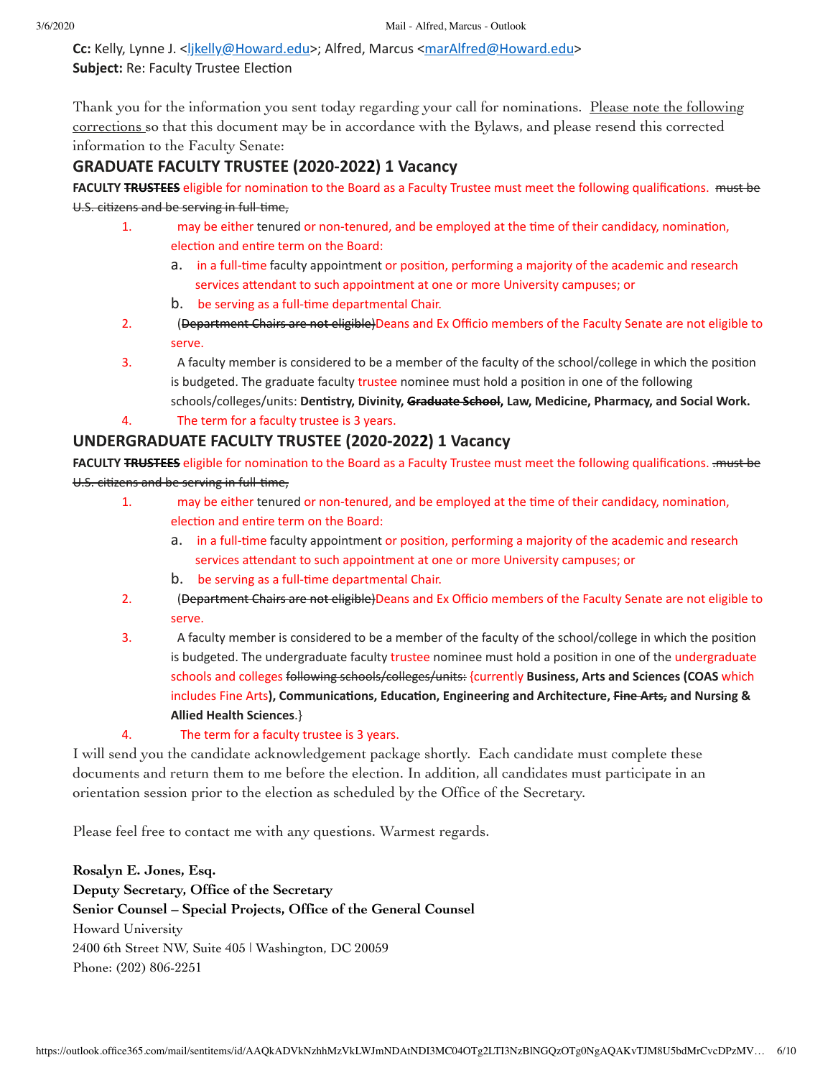**Cc:** Kelly, Lynne J. <[ljkelly@Howard.edu>](mailto:ljkelly@Howard.edu); Alfred, Marcus <[marAlfred@Howard.edu](mailto:marAlfred@Howard.edu)> **Subject: Re: Faculty Trustee Election** 

Thank you for the information you sent today regarding your call for nominations. Please note the following corrections so that this document may be in accordance with the Bylaws, and please resend this corrected information to the Faculty Senate:

# **GRADUATE FACULTY TRUSTEE (2020-2022) 1 Vacancy**

**FACULTY TRUSTEES** eligible for nomination to the Board as a Faculty Trustee must meet the following qualifications. must be U.S. citizens and be serving in full-time,

- 1. may be either tenured or non-tenured, and be employed at the time of their candidacy, nomination, election and entire term on the Board:
	- a. in a full-time faculty appointment or position, performing a majority of the academic and research services attendant to such appointment at one or more University campuses; or
	- b. be serving as a full-time departmental Chair.
- 2. **(Department Chairs are not eligible)**Deans and Ex Officio members of the Faculty Senate are not eligible to serve.
- 3. A faculty member is considered to be a member of the faculty of the school/college in which the posion is budgeted. The graduate faculty trustee nominee must hold a position in one of the following schools/colleges/units: **Denstry, Divinity, Graduate School, Law, Medicine, Pharmacy, and Social Work.**
- 4. The term for a faculty trustee is 3 years.

# **UNDERGRADUATE FACULTY TRUSTEE (2020-2022) 1 Vacancy**

**FACULTY TRUSTEES** eligible for nomination to the Board as a Faculty Trustee must meet the following qualifications. . must be U.S. citizens and be serving in full-time,

- 1. may be either tenured or non-tenured, and be employed at the time of their candidacy, nomination, election and entire term on the Board:
	- a. in a full-time faculty appointment or position, performing a majority of the academic and research services attendant to such appointment at one or more University campuses; or
	- b. be serving as a full-time departmental Chair.
- 2. (<del>Department Chairs are not eligible)</del>Deans and Ex Officio members of the Faculty Senate are not eligible to serve.
- 3. A faculty member is considered to be a member of the faculty of the school/college in which the posion is budgeted. The undergraduate faculty trustee nominee must hold a position in one of the undergraduate schools and colleges following schools/colleges/units: {currently **Business, Arts and Sciences (COAS** which  $i$  includes Fine Arts), Communications, Education, Engineering and Architecture, Fine Arts, and Nursing & **Allied Health Sciences**.}
- 4. The term for a faculty trustee is 3 years.

I will send you the candidate acknowledgement package shortly. Each candidate must complete these documents and return them to me before the election. In addition, all candidates must participate in an orientation session prior to the election as scheduled by the Office of the Secretary.

Please feel free to contact me with any questions. Warmest regards.

**Rosalyn E. Jones, Esq. Deputy Secretary, Office of the Secretary Senior Counsel – Special Projects, Office of the General Counsel** Howard University 2400 6th Street NW, Suite 405 | Washington, DC 20059 Phone: (202) 806-2251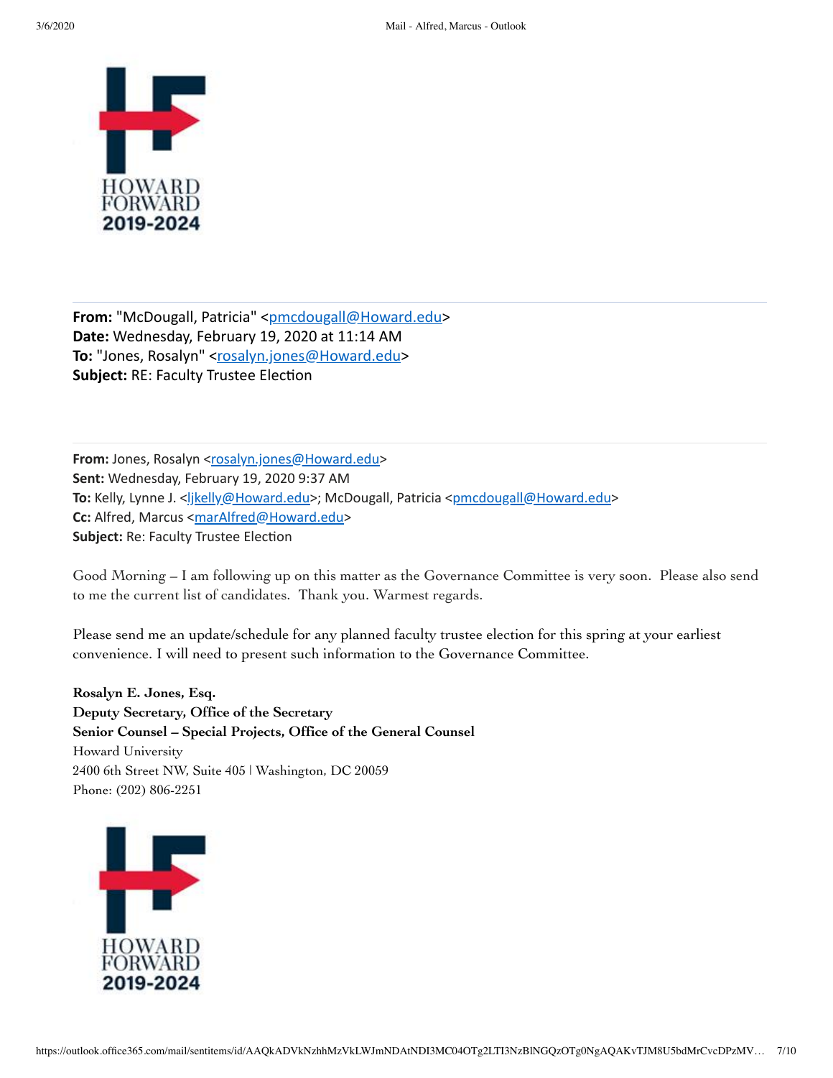

From: "McDougall, Patricia" <[pmcdougall@Howard.edu>](mailto:pmcdougall@Howard.edu) **Date:** Wednesday, February 19, 2020 at 11:14 AM To: "Jones, Rosalyn" [<rosalyn.jones@Howard.edu](mailto:rosalyn.jones@Howard.edu)> **Subject: RE: Faculty Trustee Election** 

From: Jones, Rosalyn [<rosalyn.jones@Howard.edu](mailto:rosalyn.jones@Howard.edu)> **Sent:** Wednesday, February 19, 2020 9:37 AM To: Kelly, Lynne J. <**[ljkelly@Howard.edu>](mailto:ljkelly@Howard.edu); McDougall, Patricia** <[pmcdougall@Howard.edu](mailto:pmcdougall@Howard.edu)> **Cc:** Alfred, Marcus <[marAlfred@Howard.edu](mailto:marAlfred@Howard.edu)> **Subject: Re: Faculty Trustee Election** 

Good Morning – I am following up on this matter as the Governance Committee is very soon. Please also send to me the current list of candidates. Thank you. Warmest regards.

Please send me an update/schedule for any planned faculty trustee election for this spring at your earliest convenience. I will need to present such information to the Governance Committee.

**Rosalyn E. Jones, Esq. Deputy Secretary, Office of the Secretary Senior Counsel – Special Projects, Office of the General Counsel** Howard University 2400 6th Street NW, Suite 405 | Washington, DC 20059 Phone: (202) 806-2251

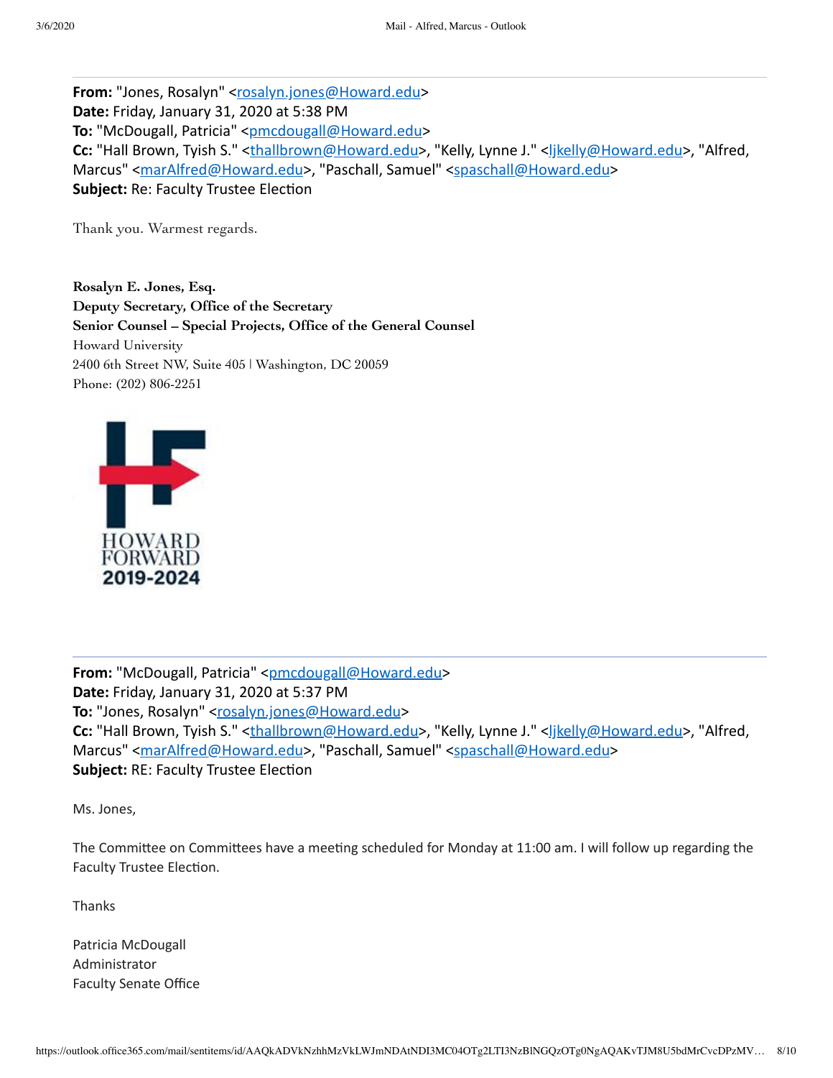From: "Jones, Rosalyn" [<rosalyn.jones@Howard.edu>](mailto:rosalyn.jones@Howard.edu) **Date:** Friday, January 31, 2020 at 5:38 PM To: "McDougall, Patricia" [<pmcdougall@Howard.edu](mailto:pmcdougall@Howard.edu)> Cc: "Hall Brown, Tyish S." <[thallbrown@Howard.edu>](mailto:thallbrown@Howard.edu), "Kelly, Lynne J." <likelly@Howard.edu>, "Alfred, Marcus" [<marAlfred@Howard.edu](mailto:marAlfred@Howard.edu)>, "Paschall, Samuel" <[spaschall@Howard.edu](mailto:spaschall@Howard.edu)> **Subject: Re: Faculty Trustee Election** 

Thank you. Warmest regards.

**Rosalyn E. Jones, Esq. Deputy Secretary, Office of the Secretary Senior Counsel – Special Projects, Office of the General Counsel** Howard University 2400 6th Street NW, Suite 405 | Washington, DC 20059 Phone: (202) 806-2251



From: "McDougall, Patricia" <[pmcdougall@Howard.edu>](mailto:pmcdougall@Howard.edu) **Date:** Friday, January 31, 2020 at 5:37 PM To: "Jones, Rosalyn" [<rosalyn.jones@Howard.edu](mailto:rosalyn.jones@Howard.edu)> Cc: "Hall Brown, Tyish S." <[thallbrown@Howard.edu>](mailto:thallbrown@Howard.edu), "Kelly, Lynne J." [<ljkelly@Howard.edu>](mailto:ljkelly@Howard.edu), "Alfred, Marcus" [<marAlfred@Howard.edu](mailto:marAlfred@Howard.edu)>, "Paschall, Samuel" <[spaschall@Howard.edu](mailto:spaschall@Howard.edu)> **Subject: RE: Faculty Trustee Election** 

Ms. Jones,

The Committee on Committees have a meeting scheduled for Monday at 11:00 am. I will follow up regarding the Faculty Trustee Election.

**Thanks** 

Patricia McDougall Administrator Faculty Senate Office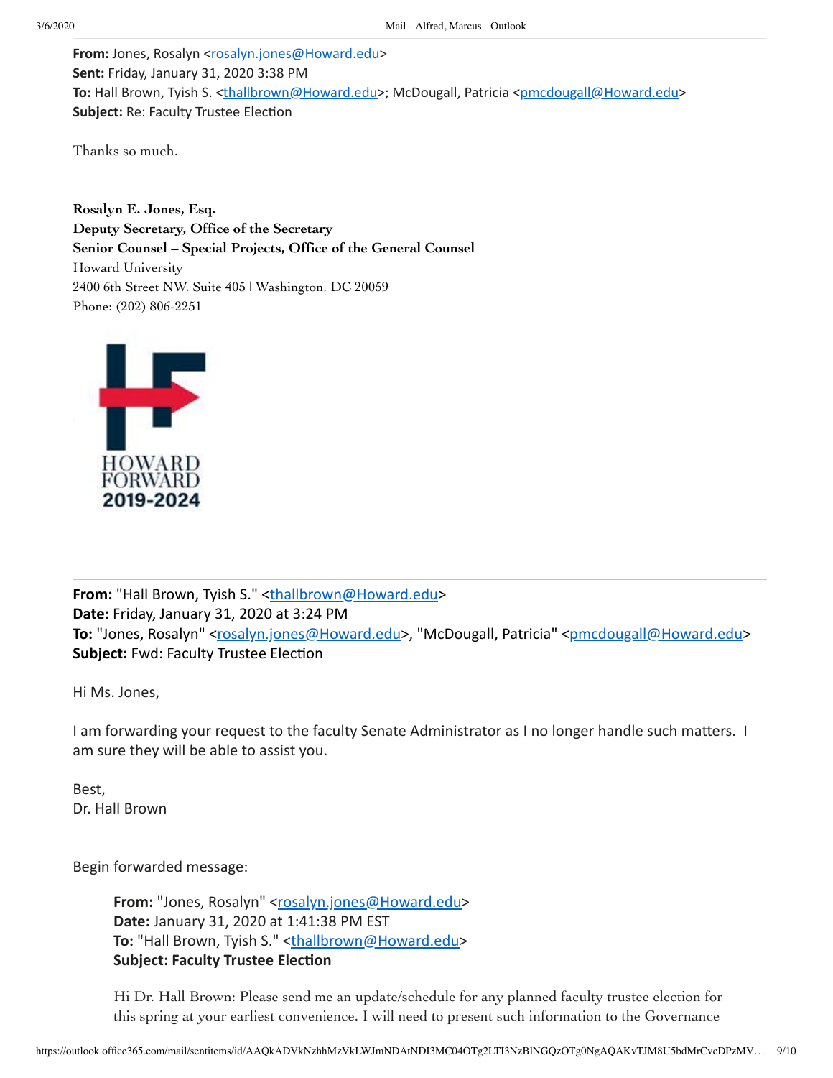**From:** Jones, Rosalyn [<rosalyn.jones@Howard.edu](mailto:rosalyn.jones@Howard.edu)> **Sent:** Friday, January 31, 2020 3:38 PM **To:** Hall Brown, Tyish S. [<thallbrown@Howard.edu](mailto:thallbrown@Howard.edu)>; McDougall, Patricia [<pmcdougall@Howard.edu](mailto:pmcdougall@Howard.edu)> **Subject: Re: Faculty Trustee Election** 

Thanks so much.

**Rosalyn E. Jones, Esq. Deputy Secretary, Office of the Secretary Senior Counsel – Special Projects, Office of the General Counsel** Howard University 2400 6th Street NW, Suite 405 | Washington, DC 20059 Phone: (202) 806-2251



From: "Hall Brown, Tyish S." [<thallbrown@Howard.edu](mailto:thallbrown@Howard.edu)> **Date:** Friday, January 31, 2020 at 3:24 PM To: "Jones, Rosalyn" [<rosalyn.jones@Howard.edu](mailto:rosalyn.jones@Howard.edu)>, "McDougall, Patricia" <[pmcdougall@Howard.edu](mailto:pmcdougall@Howard.edu)> **Subject: Fwd: Faculty Trustee Election** 

Hi Ms. Jones,

I am forwarding your request to the faculty Senate Administrator as I no longer handle such matters. I am sure they will be able to assist you.

Best, Dr. Hall Brown

Begin forwarded message:

**From:** "Jones, Rosalyn" [<rosalyn.jones@Howard.edu>](mailto:rosalyn.jones@Howard.edu) **Date:** January 31, 2020 at 1:41:38 PM EST To: "Hall Brown, Tyish S." <[thallbrown@Howard.edu>](mailto:thallbrown@Howard.edu) **Subject: Faculty Trustee Election** 

Hi Dr. Hall Brown: Please send me an update/schedule for any planned faculty trustee election for this spring at your earliest convenience. I will need to present such information to the Governance